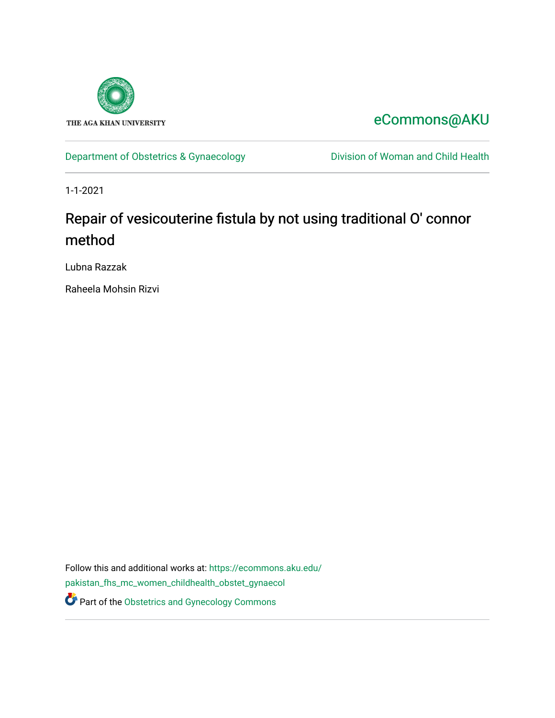

## [eCommons@AKU](https://ecommons.aku.edu/)

[Department of Obstetrics & Gynaecology](https://ecommons.aku.edu/pakistan_fhs_mc_women_childhealth_obstet_gynaecol) **Division of Woman and Child Health** 

1-1-2021

# Repair of vesicouterine fistula by not using traditional O' connor method

Lubna Razzak

Raheela Mohsin Rizvi

Follow this and additional works at: [https://ecommons.aku.edu/](https://ecommons.aku.edu/pakistan_fhs_mc_women_childhealth_obstet_gynaecol?utm_source=ecommons.aku.edu%2Fpakistan_fhs_mc_women_childhealth_obstet_gynaecol%2F218&utm_medium=PDF&utm_campaign=PDFCoverPages) [pakistan\\_fhs\\_mc\\_women\\_childhealth\\_obstet\\_gynaecol](https://ecommons.aku.edu/pakistan_fhs_mc_women_childhealth_obstet_gynaecol?utm_source=ecommons.aku.edu%2Fpakistan_fhs_mc_women_childhealth_obstet_gynaecol%2F218&utm_medium=PDF&utm_campaign=PDFCoverPages)  **Part of the Obstetrics and Gynecology Commons**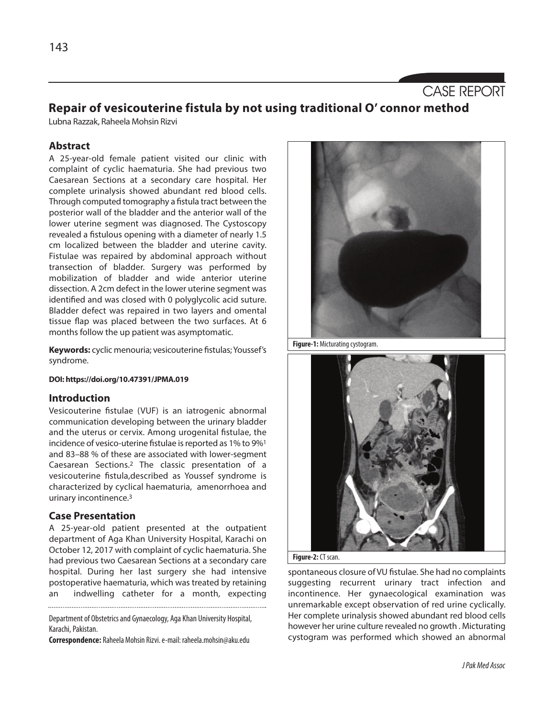### CASE REPORT

### **Repair of vesicouterine fistula by not using traditional O' connor method**

Lubna Razzak, Raheela Mohsin Rizvi

#### **Abstract**

A 25-year-old female patient visited our clinic with complaint of cyclic haematuria. She had previous two Caesarean Sections at a secondary care hospital. Her complete urinalysis showed abundant red blood cells. Through computed tomography a fistula tract between the posterior wall of the bladder and the anterior wall of the lower uterine segment was diagnosed. The Cystoscopy revealed a fistulous opening with a diameter of nearly 1.5 cm localized between the bladder and uterine cavity. Fistulae was repaired by abdominal approach without transection of bladder. Surgery was performed by mobilization of bladder and wide anterior uterine dissection. A 2cm defect in the lower uterine segment was identified and was closed with 0 polyglycolic acid suture. Bladder defect was repaired in two layers and omental tissue flap was placed between the two surfaces. At 6 months follow the up patient was asymptomatic.

**Keywords:** cyclic menouria; vesicouterine fistulas; Youssef's syndrome.

#### **DOI: https://doi.org/10.47391/JPMA.019**

#### **Introduction**

Vesicouterine fistulae (VUF) is an iatrogenic abnormal communication developing between the urinary bladder and the uterus or cervix. Among urogenital fistulae, the incidence of vesico-uterine fistulae is reported as 1% to 9%<sup>1</sup> and 83–88 % of these are associated with lower-segment Caesarean Sections.2 The classic presentation of a vesicouterine fistula,described as Youssef syndrome is characterized by cyclical haematuria, amenorrhoea and urinary incontinence. 3

#### **Case Presentation**

A 25-year-old patient presented at the outpatient department of Aga Khan University Hospital, Karachi on October 12, 2017 with complaint of cyclic haematuria. She had previous two Caesarean Sections at a secondary care hospital. During her last surgery she had intensive postoperative haematuria, which was treated by retaining an indwelling catheter for a month, expecting

Department of Obstetrics and Gynaecology, Aga Khan University Hospital, Karachi, Pakistan.

**Correspondence:** Raheela Mohsin Rizvi.e-mail: raheela.mohsin@aku.edu



Figure-1: Micturating cystogram.





spontaneous closure of VU fistulae. She had no complaints suggesting recurrent urinary tract infection and incontinence. Her gynaecological examination was unremarkable except observation of red urine cyclically. Her complete urinalysis showed abundant red blood cells however her urine culture revealed no growth . Micturating cystogram was performed which showed an abnormal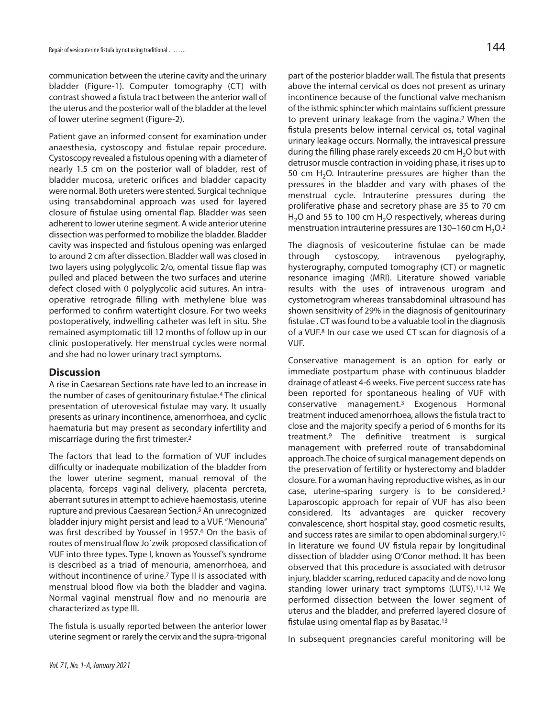communication between the uterine cavity and the urinary bladder (Figure-1). Computer tomography (CT) with contrast showed a fistula tract between the anterior wall of the uterus and the posterior wall of the bladder at the level of lower uterine segment (Figure-2).

Patient gave an informed consent for examination under anaesthesia, cystoscopy and fistulae repair procedure. Cystoscopy revealed a fistulous opening with a diameter of nearly 1.5 cm on the posterior wall of bladder, rest of bladder mucosa, ureteric orifices and bladder capacity were normal. Both ureters were stented. Surgical technique using transabdominal approach was used for layered closure of fistulae using omental flap. Bladder was seen adherent to lower uterine segment. A wide anterior uterine dissection was performed to mobilize the bladder. Bladder cavity was inspected and fistulous opening was enlarged to around 2 cm after dissection. Bladder wall was closed in two layers using polyglycolic 2/o, omental tissue flap was pulled and placed between the two surfaces and uterine defect closed with 0 polyglycolic acid sutures. An intraoperative retrograde filling with methylene blue was performed to confirm watertight closure. For two weeks postoperatively, indwelling catheter was left in situ. She remained asymptomatic till 12 months of follow up in our clinic postoperatively. Her menstrual cycles were normal and she had no lower urinary tract symptoms.

#### **Discussion**

A rise in Caesarean Sections rate have led to an increase in the number of cases of genitourinary fistulae. <sup>4</sup> The clinical presentation of uterovesical fistulae may vary. It usually presents as urinary incontinence, amenorrhoea, and cyclic haematuria but may present as secondary infertility and miscarriage during the first trimester. 2

The factors that lead to the formation of VUF includes difficulty or inadequate mobilization of the bladder from the lower uterine segment, manual removal of the placenta, forceps vaginal delivery, placenta percreta, aberrant sutures in attempt to achieve haemostasis, uterine rupture and previous Caesarean Section. <sup>5</sup> An unrecognized bladder injury might persist and lead to a VUF."Menouria" was first described by Youssef in 1957.6 On the basis of routes of menstrual flow Jo´zwik proposed classification of VUF into three types. Type I, known as Youssef's syndrome is described as a triad of menouria, amenorrhoea, and without incontinence of urine.<sup>7</sup> Type II is associated with menstrual blood flow via both the bladder and vagina. Normal vaginal menstrual flow and no menouria are characterized as type III.

The fistula is usually reported between the anterior lower uterine segment or rarely the cervix and the supra-trigonal

part of the posterior bladder wall. The fistula that presents above the internal cervical os does not present as urinary incontinence because of the functional valve mechanism of the isthmic sphincter which maintains sufficient pressure to prevent urinary leakage from the vagina.2 When the fistula presents below internal cervical os, total vaginal urinary leakage occurs. Normally, the intravesical pressure during the filling phase rarely exceeds 20 cm  $H_2O$  but with detrusor muscle contraction in voiding phase, it rises up to 50 cm  $H_2O$ . Intrauterine pressures are higher than the pressures in the bladder and vary with phases of the menstrual cycle. Intrauterine pressures during the proliferative phase and secretory phase are 35 to 70 cm  $H<sub>2</sub>O$  and 55 to 100 cm  $H<sub>2</sub>O$  respectively, whereas during menstruation intrauterine pressures are 130–160 cm  $\rm H_2O$ .<sup>2</sup>

The diagnosis of vesicouterine fistulae can be made through cystoscopy, intravenous pyelography, hysterography, computed tomography (CT) or magnetic resonance imaging (MRI). Literature showed variable results with the uses of intravenous urogram and cystometrogram whereas transabdominal ultrasound has shown sensitivity of 29% in the diagnosis of genitourinary fistulae . CT was found to be a valuable tool in the diagnosis of a VUF.8 In our case we used CT scan for diagnosis of a VUF.

Conservative management is an option for early or immediate postpartum phase with continuous bladder drainage of atleast 4-6 weeks. Five percent success rate has been reported for spontaneous healing of VUF with conservative management.3 Exogenous Hormonal treatment induced amenorrhoea, allowsthe fistula tract to close and the majority specify a period of 6 months for its treatment.9 The definitive treatment is surgical management with preferred route of transabdominal approach. The choice of surgical management depends on the preservation of fertility or hysterectomy and bladder closure. For a woman having reproductive wishes, as in our case, uterine-sparing surgery is to be considered.2 Laparoscopic approach for repair of VUF has also been considered. Its advantages are quicker recovery convalescence, short hospital stay, good cosmetic results, and success rates are similar to open abdominal surgery. 10 In literature we found UV fistula repair by longitudinal dissection of bladder using O'Conor method. It has been observed that this procedure is associated with detrusor injury, bladder scarring, reduced capacity and de novo long standing lower urinary tract symptoms (LUTS).11,12 We performed dissection between the lower segment of uterus and the bladder, and preferred layered closure of fistulae using omental flap as by Basatac.<sup>13</sup>

In subsequent pregnancies careful monitoring will be